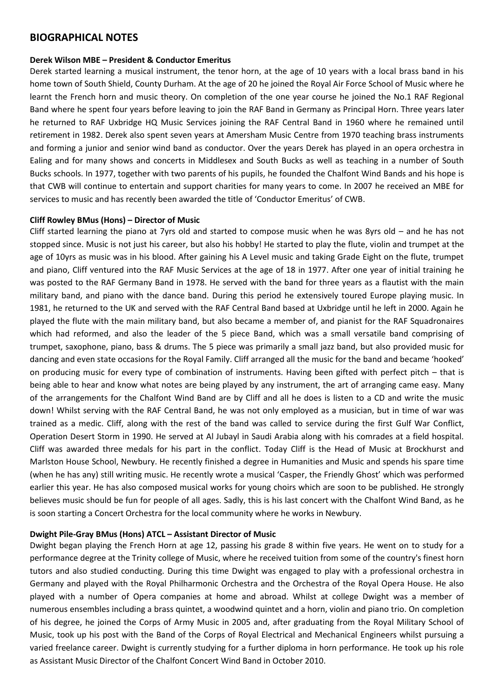## **BIOGRAPHICAL NOTES**

#### **Derek Wilson MBE – President & Conductor Emeritus**

Derek started learning a musical instrument, the tenor horn, at the age of 10 years with a local brass band in his home town of South Shield, County Durham. At the age of 20 he joined the Royal Air Force School of Music where he learnt the French horn and music theory. On completion of the one year course he joined the No.1 RAF Regional Band where he spent four years before leaving to join the RAF Band in Germany as Principal Horn. Three years later he returned to RAF Uxbridge HQ Music Services joining the RAF Central Band in 1960 where he remained until retirement in 1982. Derek also spent seven years at Amersham Music Centre from 1970 teaching brass instruments and forming a junior and senior wind band as conductor. Over the years Derek has played in an opera orchestra in Ealing and for many shows and concerts in Middlesex and South Bucks as well as teaching in a number of South Bucks schools. In 1977, together with two parents of his pupils, he founded the Chalfont Wind Bands and his hope is that CWB will continue to entertain and support charities for many years to come. In 2007 he received an MBE for services to music and has recently been awarded the title of 'Conductor Emeritus' of CWB.

#### **Cliff Rowley BMus (Hons) – Director of Music**

Cliff started learning the piano at 7yrs old and started to compose music when he was 8yrs old – and he has not stopped since. Music is not just his career, but also his hobby! He started to play the flute, violin and trumpet at the age of 10yrs as music was in his blood. After gaining his A Level music and taking Grade Eight on the flute, trumpet and piano, Cliff ventured into the RAF Music Services at the age of 18 in 1977. After one year of initial training he was posted to the RAF Germany Band in 1978. He served with the band for three years as a flautist with the main military band, and piano with the dance band. During this period he extensively toured Europe playing music. In 1981, he returned to the UK and served with the RAF Central Band based at Uxbridge until he left in 2000. Again he played the flute with the main military band, but also became a member of, and pianist for the RAF Squadronaires which had reformed, and also the leader of the 5 piece Band, which was a small versatile band comprising of trumpet, saxophone, piano, bass & drums. The 5 piece was primarily a small jazz band, but also provided music for dancing and even state occasions for the Royal Family. Cliff arranged all the music for the band and became 'hooked' on producing music for every type of combination of instruments. Having been gifted with perfect pitch – that is being able to hear and know what notes are being played by any instrument, the art of arranging came easy. Many of the arrangements for the Chalfont Wind Band are by Cliff and all he does is listen to a CD and write the music down! Whilst serving with the RAF Central Band, he was not only employed as a musician, but in time of war was trained as a medic. Cliff, along with the rest of the band was called to service during the first Gulf War Conflict, Operation Desert Storm in 1990. He served at Al Jubayl in Saudi Arabia along with his comrades at a field hospital. Cliff was awarded three medals for his part in the conflict. Today Cliff is the Head of Music at Brockhurst and Marlston House School, Newbury. He recently finished a degree in Humanities and Music and spends his spare time (when he has any) still writing music. He recently wrote a musical 'Casper, the Friendly Ghost' which was performed earlier this year. He has also composed musical works for young choirs which are soon to be published. He strongly believes music should be fun for people of all ages. Sadly, this is his last concert with the Chalfont Wind Band, as he is soon starting a Concert Orchestra for the local community where he works in Newbury.

### **Dwight Pile-Gray BMus (Hons) ATCL – Assistant Director of Music**

Dwight began playing the French Horn at age 12, passing his grade 8 within five years. He went on to study for a performance degree at the Trinity college of Music, where he received tuition from some of the country's finest horn tutors and also studied conducting. During this time Dwight was engaged to play with a professional orchestra in Germany and played with the Royal Philharmonic Orchestra and the Orchestra of the Royal Opera House. He also played with a number of Opera companies at home and abroad. Whilst at college Dwight was a member of numerous ensembles including a brass quintet, a woodwind quintet and a horn, violin and piano trio. On completion of his degree, he joined the Corps of Army Music in 2005 and, after graduating from the Royal Military School of Music, took up his post with the Band of the Corps of Royal Electrical and Mechanical Engineers whilst pursuing a varied freelance career. Dwight is currently studying for a further diploma in horn performance. He took up his role as Assistant Music Director of the Chalfont Concert Wind Band in October 2010.